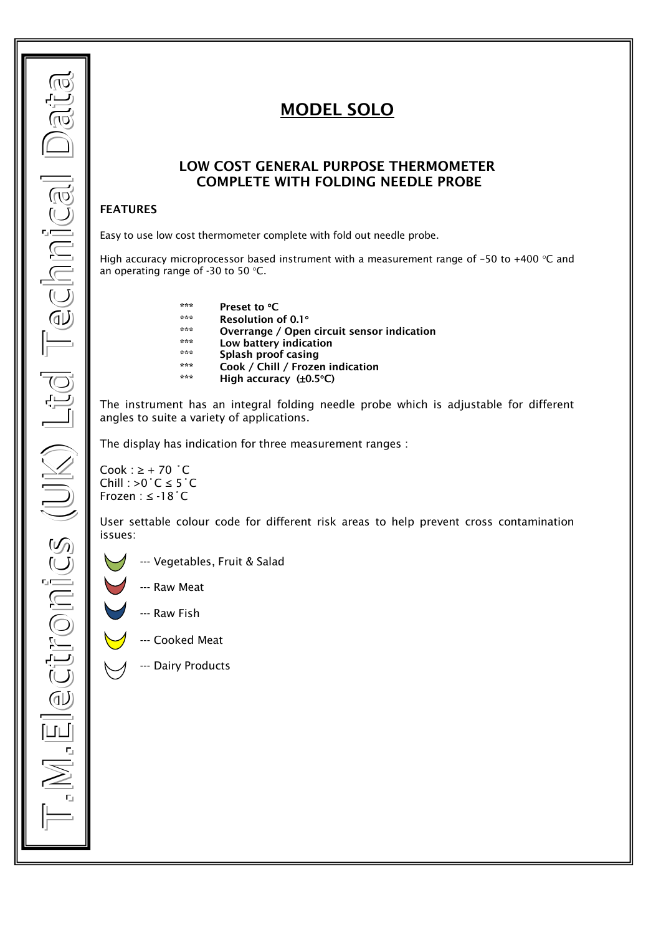# **MODEL SOLO**

## **LOW COST GENERAL PURPOSE THERMOMETER COMPLETE WITH FOLDING NEEDLE PROBE**

### **FEATURES**

Easy to use low cost thermometer complete with fold out needle probe.

High accuracy microprocessor based instrument with a measurement range of -50 to +400  $\degree$ C and an operating range of -30 to 50 °C.

- **\*\*\* Preset to C**
- **\*\*\* Resolution of 0.1**
- **\*\*\* Overrange / Open circuit sensor indication**
- **\*\*\* Low battery indication**
- **\*\*\* Splash proof casing**
- **\*\*\* Cook / Chill / Frozen indication**
- **High accuracy (** $\pm$ **0.5°C)**

The instrument has an integral folding needle probe which is adjustable for different angles to suite a variety of applications.

The display has indication for three measurement ranges :

Cook :  $\geq$  + 70  $^{\circ}$  C Chill : >0 $°C \leq 5°C$ Frozen : ≤ -18˚C

User settable colour code for different risk areas to help prevent cross contamination issues:

- --- Vegetables, Fruit & Salad
	- --- Raw Meat
	- --- Raw Fish
- --- Cooked Meat
- --- Dairy Products